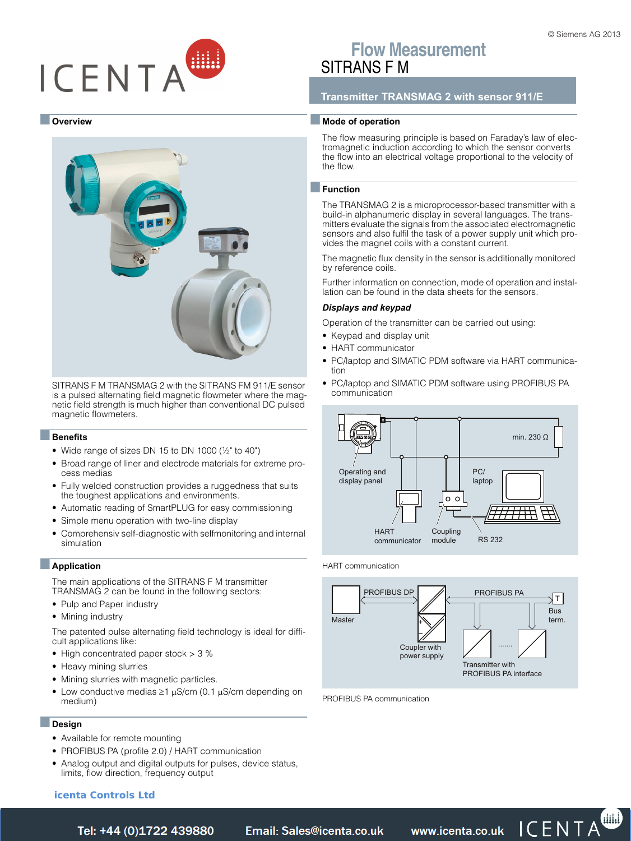# ICENTA

#### ■ **Overview**



SITRANS F M TRANSMAG 2 with the SITRANS FM 911/E sensor is a pulsed alternating field magnetic flowmeter where the magnetic field strength is much higher than conventional DC pulsed magnetic flowmeters.

#### ■**Benefits**

- Wide range of sizes DN 15 to DN 1000 ( $\frac{1}{2}$ " to 40")
- Broad range of liner and electrode materials for extreme process medias
- Fully welded construction provides a ruggedness that suits the toughest applications and environments.
- Automatic reading of SmartPLUG for easy commissioning
- Simple menu operation with two-line display
- Comprehensiv self-diagnostic with selfmonitoring and internal simulation

## ■**Application**

The main applications of the SITRANS F M transmitter TRANSMAG 2 can be found in the following sectors:

- Pulp and Paper industry
- Mining industry

The patented pulse alternating field technology is ideal for difficult applications like:

- High concentrated paper stock > 3 %
- Heavy mining slurries
- Mining slurries with magnetic particles.
- Low conductive medias  $\geq 1$   $\mu$ S/cm (0.1  $\mu$ S/cm depending on medium)

#### ■**Design**

- Available for remote mounting
- PROFIBUS PA (profile 2.0) / HART communication
- [Analog output and digital outputs for pulses, device status,](https://www.icenta.co.uk/contact.html) limits, flow direction, frequency output

# **Flow Measurement** SITRANS F M

# **Transmitter TRANSMAG 2 with sensor 911/E**

#### ■ **Mode of operation**

The flow measuring principle is based on Faraday's law of electromagnetic induction according to which the sensor converts the flow into an electrical voltage proportional to the velocity of the flow.

© Siemens AG 2013

#### ■**Function**

The TRANSMAG 2 is a microprocessor-based transmitter with a build-in alphanumeric display in several languages. The transmitters evaluate the signals from the associated electromagnetic sensors and also fulfil the task of a power supply unit which provides the magnet coils with a constant current.

The magnetic flux density in the sensor is additionally monitored by reference coils.

Further information on connection, mode of operation and installation can be found in the data sheets for the sensors.

#### *Displays and keypad*

Operation of the transmitter can be carried out using:

- Keypad and display unit
- HART communicator
- PC/laptop and SIMATIC PDM software via HART communication
- PC/laptop and SIMATIC PDM software using PROFIBUS PA communication



HART communication



PROFIBUS PA communication

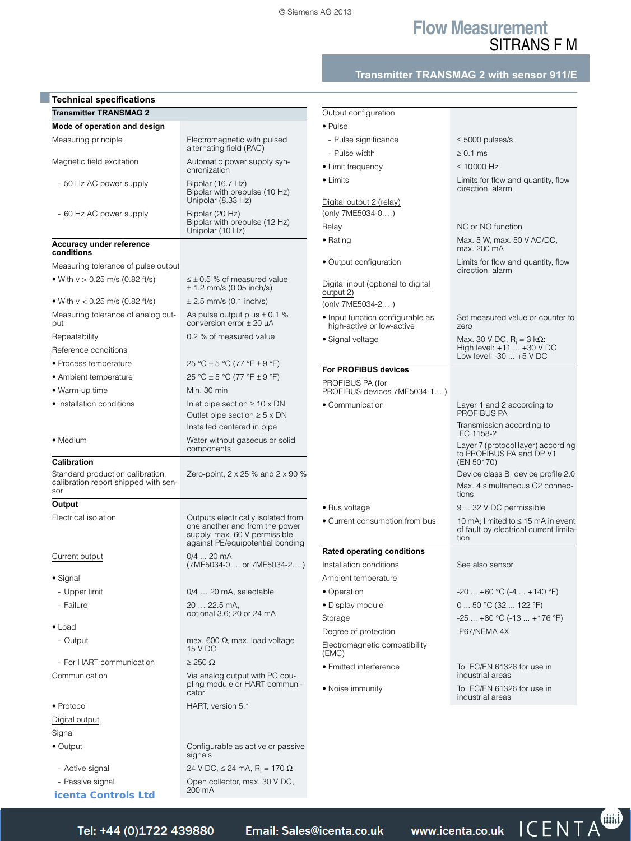# **Flow Measurement** SITRANS F M

# **Transmitter TRANSMAG 2 with sensor 911/E**

| <b>Technical specifications</b>                        |                                                                                                                                           |                                                               |                                                                                           |
|--------------------------------------------------------|-------------------------------------------------------------------------------------------------------------------------------------------|---------------------------------------------------------------|-------------------------------------------------------------------------------------------|
| <b>Transmitter TRANSMAG 2</b>                          |                                                                                                                                           | Output configuration                                          |                                                                                           |
| Mode of operation and design                           |                                                                                                                                           | $\bullet$ Pulse                                               |                                                                                           |
| Measuring principle                                    | Electromagnetic with pulsed<br>alternating field (PAC)                                                                                    | - Pulse significance                                          | $\leq$ 5000 pulses/s                                                                      |
| Magnetic field excitation                              | Automatic power supply syn-                                                                                                               | - Pulse width<br>• Limit frequency                            | $\geq 0.1$ ms<br>$\leq$ 10000 Hz                                                          |
|                                                        | chronization                                                                                                                              | $\bullet$ Limits                                              | Limits for flow and quantity, flow                                                        |
| - 50 Hz AC power supply                                | Bipolar (16.7 Hz)<br>Bipolar with prepulse (10 Hz)<br>Unipolar (8.33 Hz)                                                                  |                                                               | direction, alarm                                                                          |
| - 60 Hz AC power supply                                | Bipolar (20 Hz)                                                                                                                           | Digital output 2 (relay)<br>(only 7ME5034-0)                  |                                                                                           |
|                                                        | Bipolar with prepulse (12 Hz)<br>Unipolar (10 Hz)                                                                                         | Relay                                                         | NC or NO function                                                                         |
| Accuracy under reference<br>conditions                 |                                                                                                                                           | • Rating                                                      | Max. 5 W, max. 50 V AC/DC,<br>max. 200 mA                                                 |
| Measuring tolerance of pulse output                    |                                                                                                                                           | • Output configuration                                        | Limits for flow and quantity, flow                                                        |
| • With $v > 0.25$ m/s (0.82 ft/s)                      | $\leq \pm 0.5$ % of measured value<br>$\pm$ 1.2 mm/s (0.05 inch/s)                                                                        | Digital input (optional to digital                            | direction, alarm                                                                          |
| • With $v < 0.25$ m/s (0.82 ft/s)                      | $± 2.5$ mm/s (0.1 inch/s)                                                                                                                 | output 2)<br>(only 7ME5034-2)                                 |                                                                                           |
| Measuring tolerance of analog out-<br>put              | As pulse output plus $\pm$ 0.1 %<br>conversion error $\pm$ 20 µA                                                                          | • Input function configurable as<br>high-active or low-active | Set measured value or counter to                                                          |
| Repeatability                                          | 0.2 % of measured value                                                                                                                   |                                                               | zero                                                                                      |
| Reference conditions                                   |                                                                                                                                           | • Signal voltage                                              | Max. 30 V DC, $R_i = 3 k\Omega$ :<br>High level: $+11$ $+30$ V DC                         |
| • Process temperature                                  | 25 °C ± 5 °C (77 °F ± 9 °F)                                                                                                               |                                                               | Low level: -30  +5 V DC                                                                   |
| • Ambient temperature                                  | 25 °C ± 5 °C (77 °F ± 9 °F)                                                                                                               | For PROFIBUS devices                                          |                                                                                           |
| • Warm-up time                                         | Min. 30 min                                                                                                                               | PROFIBUS PA (for<br>PROFIBUS-devices 7ME5034-1)               |                                                                                           |
| • Installation conditions                              | Inlet pipe section $\geq 10 \times DN$                                                                                                    | • Communication                                               | Layer 1 and 2 according to                                                                |
|                                                        | Outlet pipe section $\geq 5 \times DN$<br>Installed centered in pipe                                                                      |                                                               | PROFIBUS PA<br>Transmission according to                                                  |
| • Medium                                               |                                                                                                                                           |                                                               | IEC 1158-2                                                                                |
|                                                        | Water without gaseous or solid<br>components                                                                                              |                                                               | Layer 7 (protocol layer) according<br>to PROFIBUS PA and DP V1                            |
| <b>Calibration</b><br>Standard production calibration, | Zero-point, $2 \times 25$ % and $2 \times 90$ %                                                                                           |                                                               | (EN 50170)<br>Device class B, device profile 2.0                                          |
| calibration report shipped with sen-<br>sor            |                                                                                                                                           |                                                               | Max. 4 simultaneous C2 connec-<br>tions                                                   |
| Output                                                 |                                                                                                                                           | • Bus voltage                                                 | 9  32 V DC permissible                                                                    |
| Electrical isolation                                   | Outputs electrically isolated from<br>one another and from the power<br>supply, max. 60 V permissible<br>against PE/equipotential bonding | • Current consumption from bus                                | 10 mA; limited to $\leq$ 15 mA in event<br>of fault by electrical current limita-<br>tion |
| Current output                                         | $0/4$ 20 mA                                                                                                                               | <b>Rated operating conditions</b>                             |                                                                                           |
|                                                        | (7ME5034-0 or 7ME5034-2)                                                                                                                  | Installation conditions                                       | See also sensor                                                                           |
| • Signal                                               |                                                                                                                                           | Ambient temperature                                           |                                                                                           |
| - Upper limit                                          | 0/4  20 mA, selectable                                                                                                                    | • Operation                                                   | $-20+60$ °C ( $-4+140$ °F)                                                                |
| - Failure                                              | 20  22.5 mA.                                                                                                                              | • Display module                                              | $050$ °C (32  122 °F)                                                                     |
|                                                        | optional 3.6; 20 or 24 mA                                                                                                                 | Storage                                                       | $-25+80$ °C (-13  +176 °F)                                                                |
| $\bullet$ Load                                         |                                                                                                                                           | Degree of protection                                          | IP67/NEMA 4X                                                                              |
| - Output                                               | max. 600 $\Omega$ , max. load voltage<br>15 V DC                                                                                          | Electromagnetic compatibility<br>(EMC)                        |                                                                                           |
| - For HART communication                               | $\geq$ 250 $\Omega$                                                                                                                       | • Emitted interference                                        | To IEC/EN 61326 for use in                                                                |
| Communication                                          | Via analog output with PC cou-<br>pling module or HART communi-<br>cator                                                                  | • Noise immunity                                              | industrial areas<br>To IEC/EN 61326 for use in                                            |
| • Protocol                                             | HART, version 5.1                                                                                                                         |                                                               | industrial areas                                                                          |
| Digital output                                         |                                                                                                                                           |                                                               |                                                                                           |
| Signal                                                 |                                                                                                                                           |                                                               |                                                                                           |
| $\bullet$ Output                                       | Configurable as active or passive<br>signals                                                                                              |                                                               |                                                                                           |
| - Active signal                                        | 24 V DC, $\leq$ 24 mA, R <sub>i</sub> = 170 $\Omega$                                                                                      |                                                               |                                                                                           |
| - Passive signal                                       | Open collector, max. 30 V DC,                                                                                                             |                                                               |                                                                                           |
| <b>icenta Controls Ltd</b>                             | 200 mA                                                                                                                                    |                                                               |                                                                                           |
|                                                        |                                                                                                                                           |                                                               | $\sim$ $\sim$ $\sim$ $\sim$ $\sim$                                                        |

*Tel: +44 (0)1722 41 Fax: +44 (0)1722 e: sales@icenta.co.uk www.icenta.co.uk* 

www.icenta.co.uk  $\Box \subset E \cup A$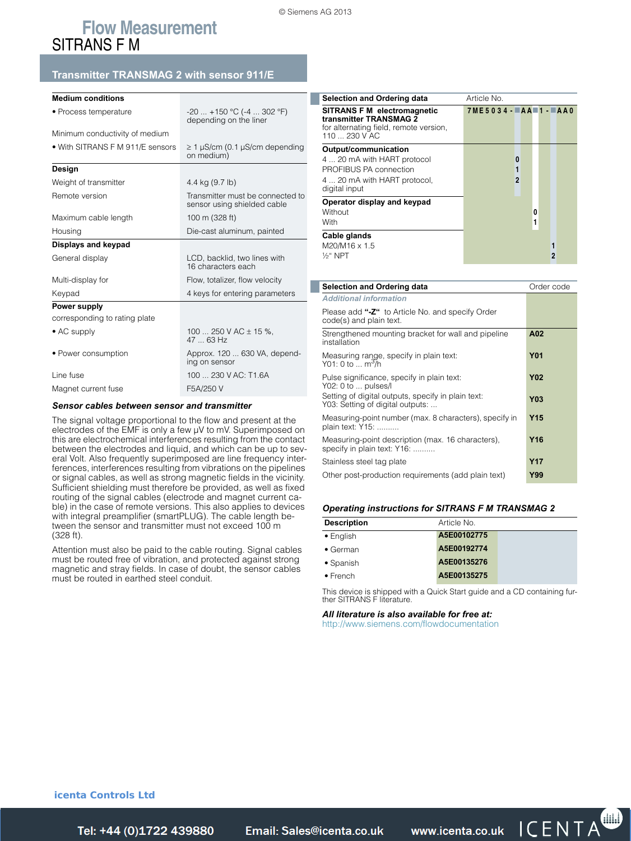# **Flow Measurement** SITRANS F M

## **Transmitter TRANSMAG 2 with sensor 911/E**

| <b>Medium conditions</b>         |                                                                 |  |  |
|----------------------------------|-----------------------------------------------------------------|--|--|
| • Process temperature            | $-20$ +150 °C (-4  302 °F)<br>depending on the liner            |  |  |
| Minimum conductivity of medium   |                                                                 |  |  |
| • With SITRANS F M 911/E sensors | $\geq 1$ µS/cm (0.1 µS/cm depending<br>on medium)               |  |  |
| Design                           |                                                                 |  |  |
| Weight of transmitter            | 4.4 kg (9.7 lb)                                                 |  |  |
| Remote version                   | Transmitter must be connected to<br>sensor using shielded cable |  |  |
| Maximum cable length             | 100 m (328 ft)                                                  |  |  |
| Housing                          | Die-cast aluminum, painted                                      |  |  |
| Displays and keypad              |                                                                 |  |  |
| General display                  | LCD, backlid, two lines with<br>16 characters each              |  |  |
| Multi-display for                | Flow, totalizer, flow velocity                                  |  |  |
| Keypad                           | 4 keys for entering parameters                                  |  |  |
| Power supply                     |                                                                 |  |  |
| corresponding to rating plate    |                                                                 |  |  |
| $\bullet$ AC supply              | 100  250 V AC $\pm$ 15 %,<br>$4763$ Hz                          |  |  |
| • Power consumption              | Approx. 120  630 VA, depend-<br>ing on sensor                   |  |  |
| Line fuse                        | 100  230 V AC: T1.6A                                            |  |  |
| F5A/250 V<br>Magnet current fuse |                                                                 |  |  |
|                                  |                                                                 |  |  |

#### *Sensor cables between sensor and transmitter*

The signal voltage proportional to the flow and present at the electrodes of the EMF is only a few µV to mV. Superimposed on this are electrochemical interferences resulting from the contact between the electrodes and liquid, and which can be up to several Volt. Also frequently superimposed are line frequency interferences, interferences resulting from vibrations on the pipelines or signal cables, as well as strong magnetic fields in the vicinity. Sufficient shielding must therefore be provided, as well as fixed routing of the signal cables (electrode and magnet current cable) in the case of remote versions. This also applies to devices with integral preamplifier (smartPLUG). The cable length between the sensor and transmitter must not exceed 100 m  $(328 ft)$ 

Attention must also be paid to the cable routing. Signal cables must be routed free of vibration, and protected against strong magnetic and stray fields. In case of doubt, the sensor cables must be routed in earthed steel conduit.

| Selection and Ordering data                                                                                      | Article No.            |   |
|------------------------------------------------------------------------------------------------------------------|------------------------|---|
| SITRANS F M electromagnetic<br>transmitter TRANSMAG 2<br>for alternating field, remote version,<br>110  230 V AC | $7ME5034 - AA 1 - AA0$ |   |
| Output/communication                                                                                             |                        |   |
| 4  20 mA with HART protocol                                                                                      | 0                      |   |
| PROFIBUS PA connection                                                                                           |                        |   |
| 4  20 mA with HART protocol,<br>digital input                                                                    | $\overline{2}$         |   |
| Operator display and keypad                                                                                      |                        |   |
| Without                                                                                                          |                        | 0 |
| With                                                                                                             |                        | 1 |
| Cable glands                                                                                                     |                        |   |
| M20/M16 x 1.5                                                                                                    |                        |   |
| 1/ <sub>2</sub> " NPT                                                                                            |                        | 2 |

| Selection and Ordering data                                                            | Order code      |
|----------------------------------------------------------------------------------------|-----------------|
| <b>Additional information</b>                                                          |                 |
| Please add "-Z" to Article No. and specify Order<br>code(s) and plain text.            |                 |
| Strengthened mounting bracket for wall and pipeline<br>installation                    | A02             |
| Measuring range, specify in plain text:<br>Y01: 0 to  m <sup>3</sup> /h                | <b>Y01</b>      |
| Pulse significance, specify in plain text:<br>Y02: 0 to  pulses/l                      | <b>Y02</b>      |
| Setting of digital outputs, specify in plain text:<br>Y03: Setting of digital outputs: | <b>Y03</b>      |
| Measuring-point number (max. 8 characters), specify in<br>plain text: Y15:             | <b>Y15</b>      |
| Measuring-point description (max. 16 characters),<br>specify in plain text: Y16:       | Y <sub>16</sub> |
| Stainless steel tag plate                                                              | Y <sub>17</sub> |
| Other post-production requirements (add plain text)                                    | Y99             |

#### *Operating instructions for SITRANS F M TRANSMAG 2*

| <b>Description</b> | Article No. |  |
|--------------------|-------------|--|
| $\bullet$ English  | A5E00102775 |  |
| $\bullet$ German   | A5E00192774 |  |
| $\bullet$ Spanish  | A5E00135276 |  |
| $\bullet$ French   | A5E00135275 |  |

This device is shipped with a Quick Start guide and a CD containing fur-ther SITRANS F literature.

*All literature is also available for free at:*  http://www.siemens.com/flowdocumentation

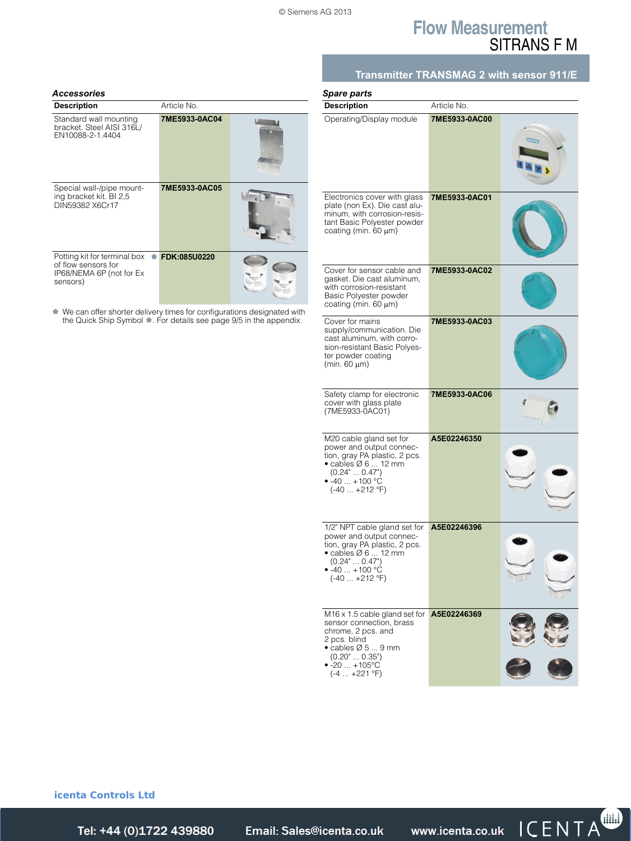# **Flow Measurement** SITRANS F M

| <b>Description</b>                                                                                                                          | Article No.   |  |
|---------------------------------------------------------------------------------------------------------------------------------------------|---------------|--|
| Standard wall mounting<br>bracket. Steel AISI 316L/<br>EN10088-2-1.4404                                                                     | 7ME5933-0AC04 |  |
| Special wall-/pipe mount-<br>ing bracket kit. BI 2,5<br>DIN59382 X6Cr17                                                                     | 7ME5933-0AC05 |  |
| Potting kit for terminal box<br>of flow sensors for<br>IP68/NEMA 6P (not for Ex<br>sensors)                                                 | FDK:085U0220  |  |
| We can offer shorter delivery times for configurations designated with<br>the Quick Ship Symbol • For details see page 9/5 in the appendix. |               |  |

# **Transmitter TRANSMAG 2 with sensor 911/E**

| Spare parts                                                                                                                                                                                            |               |  |
|--------------------------------------------------------------------------------------------------------------------------------------------------------------------------------------------------------|---------------|--|
| Description                                                                                                                                                                                            | Article No.   |  |
| Operating/Display module                                                                                                                                                                               | 7ME5933-0AC00 |  |
| Electronics cover with glass<br>plate (non Ex). Die cast alu-<br>minum, with corrosion-resis-<br>tant Basic Polyester powder<br>coating (min. 60 μm)                                                   | 7ME5933-0AC01 |  |
| Cover for sensor cable and<br>gasket. Die cast aluminum,<br>with corrosion-resistant<br>Basic Polyester powder<br>coating (min. 60 μm)                                                                 | 7ME5933-0AC02 |  |
| Cover for mains<br>supply/communication. Die<br>cast aluminum, with corro-<br>sion-resistant Basic Polyes-<br>ter powder coating<br>(min. 60 µm)                                                       | 7ME5933-0AC03 |  |
| Safety clamp for electronic<br>cover with glass plate<br>(7ME5933-0AC01)                                                                                                                               | 7ME5933-0AC06 |  |
| M20 cable gland set for<br>power and output connec-<br>tion, gray PA plastic, 2 pcs.<br>$\bullet$ cables $\varnothing$ 6  12 mm<br>(0.24"  0.47")<br>$\bullet$ -40 $\dots$ +100 °C<br>$(-40  +212 °F)$ | A5E02246350   |  |
| 1/2" NPT cable gland set for<br>power and output connec-<br>tion, gray PA plastic, 2 pcs.<br>$\bullet$ cables $\varnothing$ 6  12 mm<br>$(0.24$ " $0.47$ ")<br>• -40 … +100 °C<br>$(-40 +212$ °F)      | A5E02246396   |  |
| M16 x 1.5 cable gland set for<br>sensor connection, brass<br>chrome, 2 pcs. and<br>2 pcs. blind<br>$\bullet$ cables Ø 5  9 mm<br>(0.20"  0.35")<br>$\bullet$ -20 $\ldots$ +105°C<br>$(-4  +221 °F)$    | A5E02246369   |  |

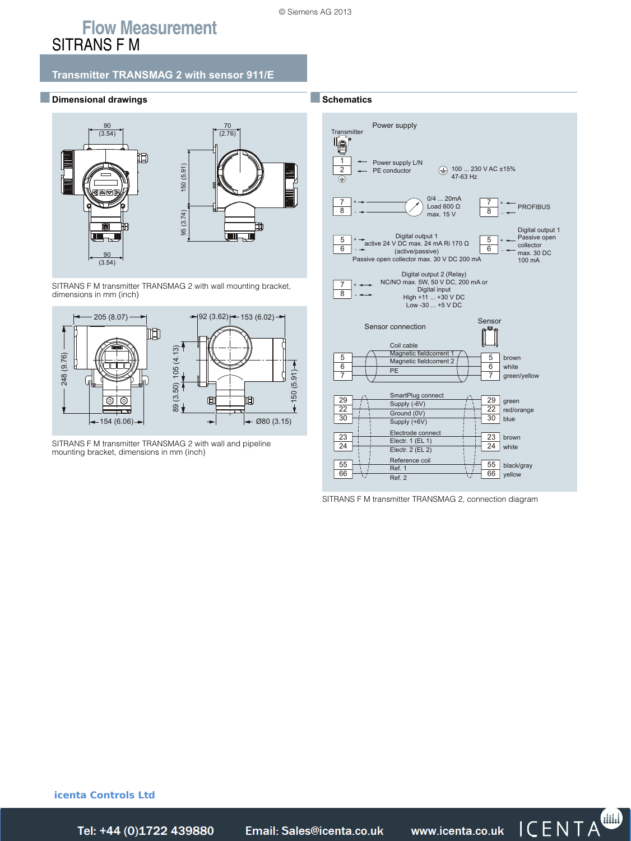# **Flow Measurement** SITRANS F M

## **Transmitter TRANSMAG 2 with sensor 911/E**

■**Dimensional drawings**



SITRANS F M transmitter TRANSMAG 2 with wall mounting bracket, dimensions in mm (inch)



SITRANS F M transmitter TRANSMAG 2 with wall and pipeline mounting bracket, dimensions in mm (inch)



SITRANS F M transmitter TRANSMAG 2, connection diagram

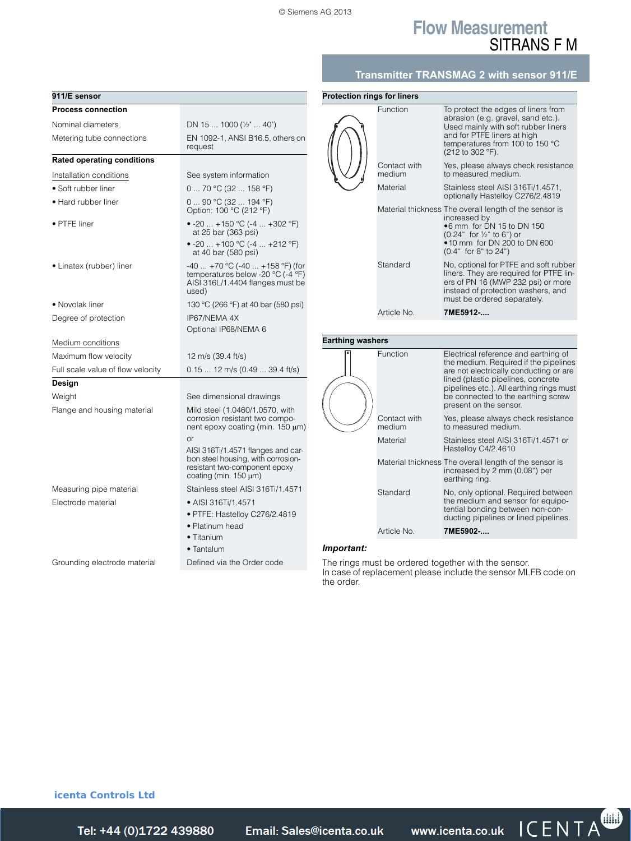**Protection rings for liners**

# **Flow Measurement** SITRANS F M

## **Transmitter TRANSMAG 2 with sensor 911/E**

| 911/E sensor                      |                                                                                                                                          |
|-----------------------------------|------------------------------------------------------------------------------------------------------------------------------------------|
| <b>Process connection</b>         |                                                                                                                                          |
| Nominal diameters                 |                                                                                                                                          |
|                                   | DN 15  1000 ( $\frac{1}{2}$ "  40")                                                                                                      |
| Metering tube connections         | EN 1092-1, ANSI B16.5, others on<br>request                                                                                              |
| <b>Rated operating conditions</b> |                                                                                                                                          |
| Installation conditions           | See system information                                                                                                                   |
| • Soft rubber liner               | 0  70 °C (32  158 °F)                                                                                                                    |
| • Hard rubber liner               | 090 °C (32  194 °F)<br>Option: 100 °C (212 °F)                                                                                           |
| • PTFE liner                      | • -20  +150 °C (-4  +302 °F)<br>at 25 bar (363 psi)<br>• -20  +100 °C (-4  +212 °F)                                                      |
|                                   | at 40 bar (580 psi)                                                                                                                      |
| • Linatex (rubber) liner          | $-40$ +70 °C (-40  +158 °F) (for<br>temperatures below -20 $^{\circ}$ C (-4 $^{\circ}$ F)<br>AISI 316L/1.4404 flanges must be<br>used)   |
| • Novolak liner                   | 130 °C (266 °F) at 40 bar (580 psi)                                                                                                      |
| Degree of protection              | IP67/NEMA 4X                                                                                                                             |
|                                   | Optional IP68/NEMA 6                                                                                                                     |
| Medium conditions                 |                                                                                                                                          |
| Maximum flow velocity             | 12 m/s (39.4 ft/s)                                                                                                                       |
| Full scale value of flow velocity | 0.15  12 m/s (0.49  39.4 ft/s)                                                                                                           |
| Design                            |                                                                                                                                          |
| Weight                            | See dimensional drawings                                                                                                                 |
| Flange and housing material       | Mild steel (1.0460/1.0570, with<br>corrosion resistant two compo-<br>nent epoxy coating (min. 150 $\mu$ m)<br>or                         |
|                                   | AISI 316Ti/1.4571 flanges and car-<br>bon steel housing, with corrosion-<br>resistant two-component epoxy<br>coating (min. $150 \mu m$ ) |
| Measuring pipe material           | Stainless steel AISI 316Ti/1.4571                                                                                                        |
| Electrode material                | • AISI 316Ti/1.4571                                                                                                                      |
|                                   | · PTFE: Hastelloy C276/2.4819                                                                                                            |
|                                   | • Platinum head                                                                                                                          |
|                                   | • Titanium                                                                                                                               |
|                                   | • Tantalum                                                                                                                               |
| Grounding electrode material      | Defined via the Order code                                                                                                               |

|                         | Function               | To protect the edges of liners from<br>abrasion (e.g. gravel, sand etc.).<br>Used mainly with soft rubber liners<br>and for PTFE liners at high<br>temperatures from 100 to 150 °C<br>(212 to 302 °F).                                                                    |
|-------------------------|------------------------|---------------------------------------------------------------------------------------------------------------------------------------------------------------------------------------------------------------------------------------------------------------------------|
|                         | Contact with<br>medium | Yes, please always check resistance<br>to measured medium.                                                                                                                                                                                                                |
|                         | Material               | Stainless steel AISI 316Ti/1.4571,<br>optionally Hastelloy C276/2.4819                                                                                                                                                                                                    |
|                         |                        | Material thickness The overall length of the sensor is<br>increased by<br>.6 mm for DN 15 to DN 150<br>(0.24" for 1/2" to 6") or<br>• 10 mm for DN 200 to DN 600<br>(0.4" for 8" to 24")                                                                                  |
|                         | Standard               | No, optional for PTFE and soft rubber<br>liners. They are required for PTFE lin-<br>ers of PN 16 (MWP 232 psi) or more<br>instead of protection washers, and<br>must be ordered separately.                                                                               |
|                         | Article No.            | 7ME5912-                                                                                                                                                                                                                                                                  |
|                         |                        |                                                                                                                                                                                                                                                                           |
| <b>Earthing washers</b> |                        |                                                                                                                                                                                                                                                                           |
|                         | Function               | Electrical reference and earthing of<br>the medium. Required if the pipelines<br>are not electrically conducting or are<br>lined (plastic pipelines, concrete<br>pipelines etc.). All earthing rings must<br>be connected to the earthing screw<br>present on the sensor. |
|                         | Contact with<br>medium | Yes, please always check resistance<br>to measured medium.                                                                                                                                                                                                                |
|                         | Material               | Stainless steel AISI 316Ti/1.4571 or<br>Hastelloy C4/2.4610                                                                                                                                                                                                               |
|                         |                        | Material thickness The overall length of the sensor is<br>increased by 2 mm (0.08") per<br>earthing ring.                                                                                                                                                                 |
|                         | Standard               | No, only optional. Required between<br>the medium and sensor for equipo-<br>tential bonding between non-con-                                                                                                                                                              |
|                         |                        | ducting pipelines or lined pipelines.                                                                                                                                                                                                                                     |

#### *Important:*

The rings must be ordered together with the sensor. In case of replacement please include the sensor MLFB code on the order.

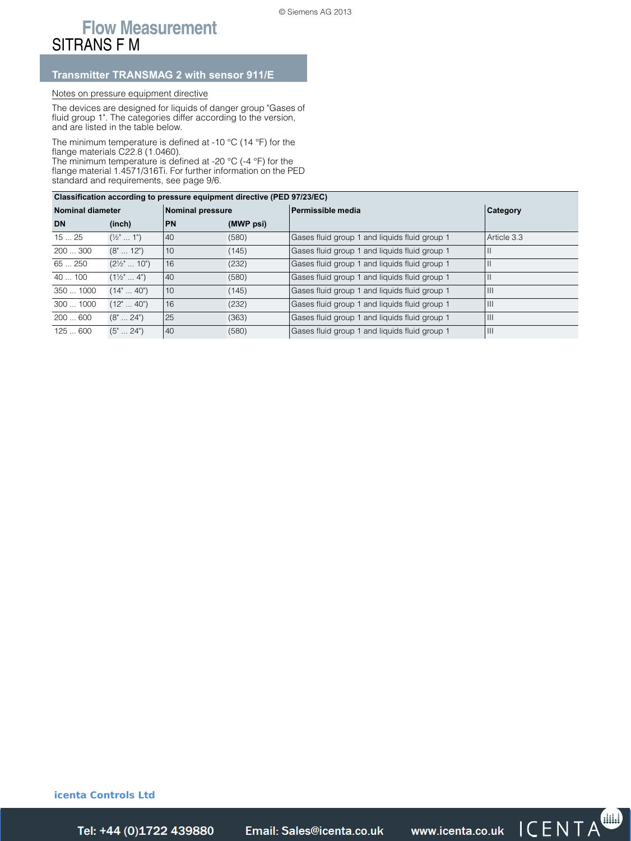# **Flow Measurement** SITRANS F M

## **Transmitter TRANSMAG 2 with sensor 911/E**

## Notes on pressure equipment directive

The devices are designed for liquids of danger group "Gases of fluid group 1". The categories differ according to the version, and are listed in the table below.

The minimum temperature is defined at -10 °C (14 °F) for the flange materials C22.8 (1.0460).

The minimum temperature is defined at -20 °C (-4 °F) for the flange material 1.4571/316Ti. For further information on the PED standard and requirements, see page 9/6.

| Classification according to pressure equipment directive (PED 97/23/EC) |                         |                  |           |                                               |                          |
|-------------------------------------------------------------------------|-------------------------|------------------|-----------|-----------------------------------------------|--------------------------|
| <b>Nominal diameter</b>                                                 |                         | Nominal pressure |           | Permissible media                             | <b>Category</b>          |
| <b>DN</b>                                                               | (inch)                  | <b>PN</b>        | (MWP psi) |                                               |                          |
| 1525                                                                    | $(\frac{1}{2}^n  1^n)$  | 40               | (580)     | Gases fluid group 1 and liquids fluid group 1 | Article 3.3              |
| 200300                                                                  | $(8" \dots 12")$        | 10               | (145)     | Gases fluid group 1 and liquids fluid group 1 | $\overline{\phantom{0}}$ |
| 65250                                                                   | $(2\frac{1}{2}$ "  10") | 16               | (232)     | Gases fluid group 1 and liquids fluid group 1 | $\overline{\phantom{0}}$ |
| 40100                                                                   | $(1\frac{1}{2}$ 4")     | 40               | (580)     | Gases fluid group 1 and liquids fluid group 1 |                          |
| 350  1000                                                               | (14"  40")              | 10               | (145)     | Gases fluid group 1 and liquids fluid group 1 | ШI                       |
| 300  1000                                                               | $(12" \dots 40")$       | 16               | (232)     | Gases fluid group 1 and liquids fluid group 1 | Ш                        |
| 200600                                                                  | $(8" \dots 24")$        | 25               | (363)     | Gases fluid group 1 and liquids fluid group 1 | ШI                       |
| 125  600                                                                | $(5" \dots 24")$        | 40               | (580)     | Gases fluid group 1 and liquids fluid group 1 | Ш                        |

**icenta Controls Ltd** 



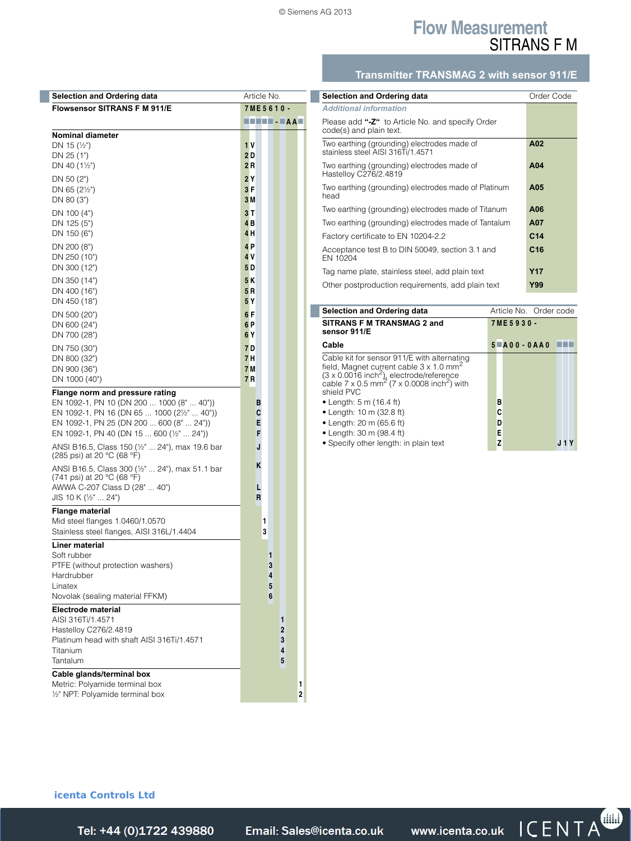# **Flow Measurement** SITRANS F M

# **Transmitter TRANSMAG 2 with sensor 911/E**

| <b>Selection and Ordering data</b>                                                                                                                                                                                                                                                                               | Article No.           |                            |        |                     |              |   |
|------------------------------------------------------------------------------------------------------------------------------------------------------------------------------------------------------------------------------------------------------------------------------------------------------------------|-----------------------|----------------------------|--------|---------------------|--------------|---|
| <b>Flowsensor SITRANS F M 911/E</b>                                                                                                                                                                                                                                                                              | 7ME5610-              |                            |        |                     |              |   |
|                                                                                                                                                                                                                                                                                                                  | TUTUT - FAAT          |                            |        |                     |              |   |
| <b>Nominal diameter</b>                                                                                                                                                                                                                                                                                          |                       |                            |        |                     |              |   |
| DN 15 $(\frac{1}{2})$<br>DN 25 (1")                                                                                                                                                                                                                                                                              | 1 V<br>2 D            |                            |        |                     |              |   |
| DN 40 $(1\frac{1}{2})$                                                                                                                                                                                                                                                                                           | 2R                    |                            |        |                     |              |   |
| DN 50 (2")                                                                                                                                                                                                                                                                                                       | 2 Y                   |                            |        |                     |              |   |
| DN 65 $(2\frac{1}{2})$                                                                                                                                                                                                                                                                                           | 3F                    |                            |        |                     |              |   |
| DN 80 (3")                                                                                                                                                                                                                                                                                                       | 3 M                   |                            |        |                     |              |   |
| DN 100 (4")                                                                                                                                                                                                                                                                                                      | 3 T                   |                            |        |                     |              |   |
| DN 125 (5")<br>DN 150 (6")                                                                                                                                                                                                                                                                                       | 4 <sub>B</sub><br>4 H |                            |        |                     |              |   |
| DN 200 (8")                                                                                                                                                                                                                                                                                                      | 4P                    |                            |        |                     |              |   |
| DN 250 (10")                                                                                                                                                                                                                                                                                                     | 4 V                   |                            |        |                     |              |   |
| DN 300 (12")                                                                                                                                                                                                                                                                                                     | 5 <sub>D</sub>        |                            |        |                     |              |   |
| DN 350 (14")                                                                                                                                                                                                                                                                                                     | 5K                    |                            |        |                     |              |   |
| DN 400 (16")                                                                                                                                                                                                                                                                                                     | 5 <sub>R</sub>        |                            |        |                     |              |   |
| DN 450 (18")                                                                                                                                                                                                                                                                                                     | 5Y                    |                            |        |                     |              |   |
| DN 500 (20")<br>DN 600 (24")                                                                                                                                                                                                                                                                                     | 6F<br>6P              |                            |        |                     |              |   |
| DN 700 (28")                                                                                                                                                                                                                                                                                                     | 6 Y                   |                            |        |                     |              |   |
| DN 750 (30")                                                                                                                                                                                                                                                                                                     | 7 D                   |                            |        |                     |              |   |
| DN 800 (32")                                                                                                                                                                                                                                                                                                     | 7 H                   |                            |        |                     |              |   |
| DN 900 (36")<br>DN 1000 (40")                                                                                                                                                                                                                                                                                    | 7 <sub>M</sub><br>7R  |                            |        |                     |              |   |
| EN 1092-1, PN 25 (DN 200  600 (8"  24"))<br>EN 1092-1, PN 40 (DN 15  600 (1/2"  24"))<br>ANSI B16.5, Class 150 (1/2"  24"), max 19.6 bar<br>(285 psi) at 20 °C (68 °F)<br>ANSI B16.5, Class 300 (1/2"  24"), max 51.1 bar<br>(741 psi) at 20 °C (68 °F)<br>AWWA C-207 Class D (28"  40")<br>JIS 10 K (1/2"  24") |                       | Е<br>F<br>J<br>ĸ<br>L<br>R |        |                     |              |   |
| <b>Flange material</b>                                                                                                                                                                                                                                                                                           |                       |                            |        |                     |              |   |
| Mid steel flanges 1.0460/1.0570<br>Stainless steel flanges, AISI 316L/1.4404                                                                                                                                                                                                                                     |                       | 1<br>3                     |        |                     |              |   |
| Liner material                                                                                                                                                                                                                                                                                                   |                       |                            |        |                     |              |   |
| Soft rubber                                                                                                                                                                                                                                                                                                      |                       |                            | 1      |                     |              |   |
| PTFE (without protection washers)                                                                                                                                                                                                                                                                                |                       |                            | 3      |                     |              |   |
| Hardrubber<br>Linatex                                                                                                                                                                                                                                                                                            |                       |                            | 4<br>5 |                     |              |   |
| Novolak (sealing material FFKM)                                                                                                                                                                                                                                                                                  |                       |                            | 6      |                     |              |   |
| Electrode material                                                                                                                                                                                                                                                                                               |                       |                            |        |                     |              |   |
| AISI 316Ti/1.4571<br>Hastelloy C276/2.4819                                                                                                                                                                                                                                                                       |                       |                            |        | 1<br>$\overline{2}$ |              |   |
| Platinum head with shaft AISI 316Ti/1.4571                                                                                                                                                                                                                                                                       |                       |                            |        | 3                   |              |   |
| <b>Titanium</b>                                                                                                                                                                                                                                                                                                  |                       |                            |        | 4                   |              |   |
| Tantalum                                                                                                                                                                                                                                                                                                         |                       |                            |        | 5                   |              |   |
| Cable glands/terminal box<br>Metric: Polyamide terminal box                                                                                                                                                                                                                                                      |                       |                            |        |                     |              | 1 |
| 1/2" NPT: Polyamide terminal box                                                                                                                                                                                                                                                                                 |                       |                            |        |                     | $\mathbf{2}$ |   |

| Selection and Ordering data                                                      | Order Code      |
|----------------------------------------------------------------------------------|-----------------|
| <b>Additional information</b>                                                    |                 |
| Please add "-Z" to Article No. and specify Order<br>code(s) and plain text.      |                 |
| Two earthing (grounding) electrodes made of<br>stainless steel AISI 316Ti/1.4571 | A02             |
| Two earthing (grounding) electrodes made of<br>Hastelloy C276/2.4819             | A04             |
| Two earthing (grounding) electrodes made of Platinum<br>head                     | A05             |
| Two earthing (grounding) electrodes made of Titanum                              | A06             |
| Two earthing (grounding) electrodes made of Tantalum                             | A07             |
| Factory certificate to EN 10204-2.2                                              | C <sub>14</sub> |
| Acceptance test B to DIN 50049, section 3.1 and<br>EN 10204                      | C <sub>16</sub> |
| Tag name plate, stainless steel, add plain text                                  | Y <sub>17</sub> |
| Other postproduction requirements, add plain text                                | <b>Y99</b>      |

| <b>Selection and Ordering data</b>                                                                                                                                                                                                                        | Article No. Order code |  |  |  |  |  |  |
|-----------------------------------------------------------------------------------------------------------------------------------------------------------------------------------------------------------------------------------------------------------|------------------------|--|--|--|--|--|--|
| SITRANS F M TRANSMAG 2 and<br>sensor 911/E                                                                                                                                                                                                                | 7ME5930-               |  |  |  |  |  |  |
| Cable                                                                                                                                                                                                                                                     | $5$ $A$ 00 - 0AA0      |  |  |  |  |  |  |
| Cable kit for sensor 911/E with alternating<br>field, Magnet current cable $3 \times 1.0$ mm <sup>2</sup><br>$(3 \times 0.0016 \text{ inch}^2)$ , electrode/reference<br>cable 7 x 0.5 mm <sup>2</sup> (7 x 0.0008 inch <sup>2</sup> ) with<br>shield PVC |                        |  |  |  |  |  |  |
| • Length: 5 m $(16.4 \text{ ft})$                                                                                                                                                                                                                         | В                      |  |  |  |  |  |  |
| • Length: 10 m $(32.8 \text{ ft})$                                                                                                                                                                                                                        | C                      |  |  |  |  |  |  |
| • Length: 20 m $(65.6 \text{ ft})$                                                                                                                                                                                                                        | D                      |  |  |  |  |  |  |
| $\bullet$ Length: 30 m (98.4 ft)                                                                                                                                                                                                                          | Е                      |  |  |  |  |  |  |
| • Specify other length: in plain text                                                                                                                                                                                                                     |                        |  |  |  |  |  |  |

## **icenta Controls Ltd**

Siemens FI 01 · 2014 **3/111** *Tel: +44 (0)1722 41 Fax: +44 (0)1722 e: sales@icenta.co.uk www.icenta.co.uk*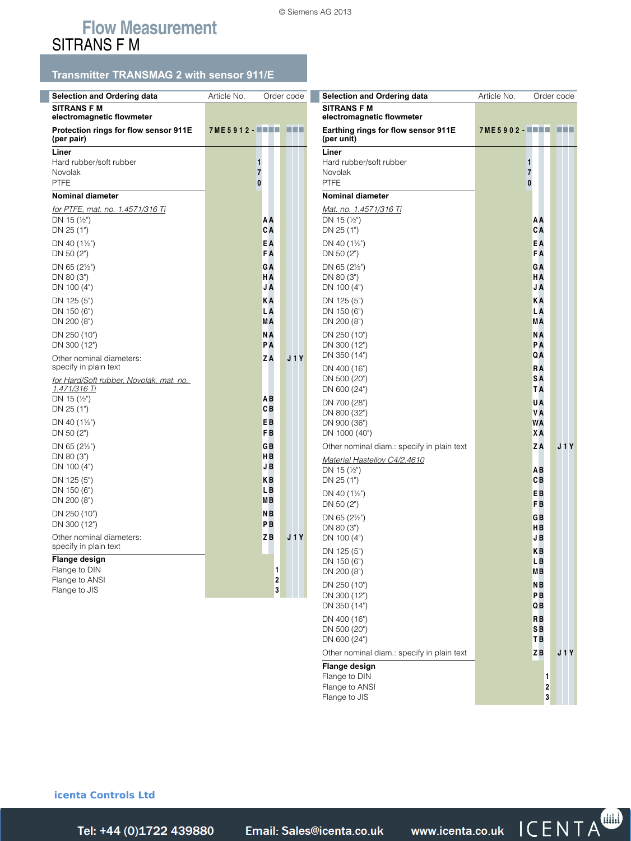# **Flow Measurement** SITRANS F M

# **Transmitter TRANSMAG 2 with sensor 911/E**

| <b>Selection and Ordering data</b>                  | Article No. |                      | Order code |  |                |  |  |
|-----------------------------------------------------|-------------|----------------------|------------|--|----------------|--|--|
| <b>SITRANS F M</b><br>electromagnetic flowmeter     |             |                      |            |  |                |  |  |
| Protection rings for flow sensor 911E<br>(per pair) | 7ME5912-WHH |                      |            |  | <b>TELESCO</b> |  |  |
| Liner                                               |             |                      |            |  |                |  |  |
| Hard rubber/soft rubber<br>Novolak                  | 1<br>7      |                      |            |  |                |  |  |
| <b>PTFE</b>                                         | 0           |                      |            |  |                |  |  |
| <b>Nominal diameter</b>                             |             |                      |            |  |                |  |  |
| for PTFE, mat. no. 1.4571/316 Ti                    |             |                      |            |  |                |  |  |
| DN 15 $(\frac{1}{2})$                               |             | ΑA<br>CA             |            |  |                |  |  |
| DN 25 (1")                                          |             | EA                   |            |  |                |  |  |
| DN 40 $(1\frac{1}{2})$<br>DN 50 (2")                |             | <b>FA</b>            |            |  |                |  |  |
| DN 65 $(2\frac{1}{2})$                              |             | GΑ                   |            |  |                |  |  |
| DN 80 (3")                                          |             | ΗA                   |            |  |                |  |  |
| DN 100 (4")                                         |             | JA                   |            |  |                |  |  |
| DN 125 (5")<br>DN 150 (6")                          |             | KΑ<br>LΑ             |            |  |                |  |  |
| DN 200 (8")                                         |             | <b>MA</b>            |            |  |                |  |  |
| DN 250 (10")                                        |             | NA                   |            |  |                |  |  |
| DN 300 (12")                                        |             | PA                   |            |  |                |  |  |
| Other nominal diameters:<br>specify in plain text   |             | ZA                   |            |  | <b>J1Y</b>     |  |  |
| for Hard/Soft rubber, Novolak, mat. no.             |             |                      |            |  |                |  |  |
| <u>1.471/316 Ti</u><br>DN 15 $(\frac{1}{2})$        |             | AΒ                   |            |  |                |  |  |
| DN 25 (1")                                          |             | CВ                   |            |  |                |  |  |
| DN 40 $(1\frac{1}{2})$                              |             | EB                   |            |  |                |  |  |
| DN 50 (2")                                          |             | F <sub>B</sub>       |            |  |                |  |  |
| DN 65 $(2\frac{1}{2})$<br>DN 80 (3")                |             | GB<br><b>HB</b>      |            |  |                |  |  |
| DN 100 (4")                                         |             | JB                   |            |  |                |  |  |
| DN 125 (5")                                         |             | <b>KB</b>            |            |  |                |  |  |
| DN 150 (6")                                         |             | LВ                   |            |  |                |  |  |
| DN 200 (8")                                         |             | MВ<br>N <sub>B</sub> |            |  |                |  |  |
| DN 250 (10")<br>DN 300 (12")                        |             | PB                   |            |  |                |  |  |
| Other nominal diameters:                            |             | ZB                   |            |  | <b>J1Y</b>     |  |  |
| specify in plain text                               |             |                      |            |  |                |  |  |
| Flange design<br>Flange to DIN                      |             |                      | 1          |  |                |  |  |
| Flange to ANSI                                      |             |                      | 2          |  |                |  |  |
| Flange to JIS                                       |             |                      | 3          |  |                |  |  |

| <b>Selection and Ordering data</b>                | Article No.          | Order code             |            |      |
|---------------------------------------------------|----------------------|------------------------|------------|------|
| <b>SITRANS F M</b><br>electromagnetic flowmeter   |                      |                        |            |      |
| Earthing rings for flow sensor 911E               | 7ME5902- <b>0000</b> |                        |            | n in |
| (per unit)                                        |                      |                        |            |      |
| Liner<br>Hard rubber/soft rubber                  | 1                    |                        |            |      |
| Novolak                                           | 7                    |                        |            |      |
| <b>PTFE</b>                                       | $\bf{0}$             |                        |            |      |
| <b>Nominal diameter</b><br>Mat. no. 1.4571/316 Ti |                      |                        |            |      |
| DN 15 $(\frac{1}{2})$                             |                      | ΑA                     |            |      |
| DN 25 (1")                                        |                      | CA                     |            |      |
| DN 40 $(1\frac{1}{2})$<br>DN 50 $(2")$            |                      | EA<br><b>FA</b>        |            |      |
| DN 65 $(2\frac{1}{2})$                            |                      | GA                     |            |      |
| DN 80 (3")                                        |                      | ΗA                     |            |      |
| DN 100 (4")                                       |                      | JA                     |            |      |
| DN 125 (5")<br>DN 150 (6")                        |                      | КA<br>L A              |            |      |
| DN 200 (8")                                       |                      | МA                     |            |      |
| DN 250 (10")<br>DN 300 (12")                      |                      | NA<br>PA               |            |      |
| DN 350 (14")                                      |                      | QΑ                     |            |      |
| DN 400 (16")                                      |                      | <b>RA</b>              |            |      |
| DN 500 (20")<br>DN 600 (24")                      |                      | <b>SA</b><br><b>TA</b> |            |      |
| DN 700 (28")                                      |                      | UA                     |            |      |
| DN 800 (32")                                      |                      | VA                     |            |      |
| DN 900 (36")<br>DN 1000 (40")                     |                      | <b>WA</b><br>XA        |            |      |
| Other nominal diam.: specify in plain text        |                      | ZA                     | <b>J1Y</b> |      |
| Material Hastelloy C4/2.4610                      |                      |                        |            |      |
| DN 15 $(\frac{1}{2})$<br>DN 25 (1")               |                      | AΒ<br>CВ               |            |      |
| DN 40 (11/2")                                     |                      | EB                     |            |      |
| DN 50 (2")                                        |                      | F <sub>B</sub>         |            |      |
| DN 65 $(2\frac{1}{2})$                            |                      | GB<br>HВ               |            |      |
| DN 80 (3")<br>DN 100 (4")                         |                      | JB                     |            |      |
| DN 125 (5")                                       |                      | KВ                     |            |      |
| DN 150 (6")<br>DN 200 (8")                        |                      | L B<br>MВ              |            |      |
| DN 250 (10")                                      |                      | NΒ                     |            |      |
| DN 300 (12")                                      |                      | PВ                     |            |      |
| DN 350 (14")                                      |                      | QВ                     |            |      |
| DN 400 (16")<br>DN 500 (20")                      |                      | RB<br>SB               |            |      |
| DN 600 (24")                                      |                      | <b>TB</b>              |            |      |
| Other nominal diam.: specify in plain text        |                      | ZB                     | J 1 Y      |      |
| <b>Flange design</b><br>Flange to DIN             |                      | 1                      |            |      |
| Flange to ANSI                                    |                      | 2                      |            |      |
| Flange to JIS                                     |                      | 3                      |            |      |

## **icenta Controls Ltd**

Tel: +44 (0)1722 439880

*Tel: +44 (0)1722 41 Fax: +44 (0)1722 e: sales@icenta.co.uk www.icenta.co.uk*